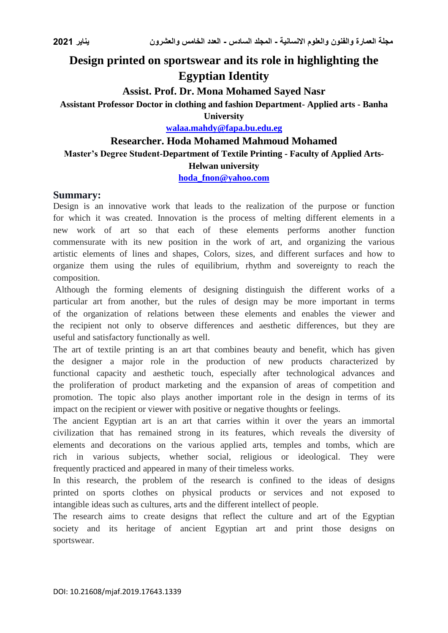# **Design printed on sportswear and its role in highlighting the Egyptian Identity**

# **Assist. Prof. Dr. Mona Mohamed Sayed Nasr**

# **Assistant Professor Doctor in clothing and fashion Department- Applied arts - Banha**

**University**

**[walaa.mahdy@fapa.bu.edu.eg](mailto:walaa.mahdy@fapa.bu.edu.eg)**

### **Researcher. Hoda Mohamed Mahmoud Mohamed**

# **Master's Degree Student-Department of Textile Printing - Faculty of Applied Arts-**

#### **Helwan university**

**[hoda\\_fnon@yahoo.com](mailto:hoda_fnon@yahoo.com)**

### **Summary:**

Design is an innovative work that leads to the realization of the purpose or function for which it was created. Innovation is the process of melting different elements in a new work of art so that each of these elements performs another function commensurate with its new position in the work of art, and organizing the various artistic elements of lines and shapes, Colors, sizes, and different surfaces and how to organize them using the rules of equilibrium, rhythm and sovereignty to reach the composition.

Although the forming elements of designing distinguish the different works of a particular art from another, but the rules of design may be more important in terms of the organization of relations between these elements and enables the viewer and the recipient not only to observe differences and aesthetic differences, but they are useful and satisfactory functionally as well.

The art of textile printing is an art that combines beauty and benefit, which has given the designer a major role in the production of new products characterized by functional capacity and aesthetic touch, especially after technological advances and the proliferation of product marketing and the expansion of areas of competition and promotion. The topic also plays another important role in the design in terms of its impact on the recipient or viewer with positive or negative thoughts or feelings.

The ancient Egyptian art is an art that carries within it over the years an immortal civilization that has remained strong in its features, which reveals the diversity of elements and decorations on the various applied arts, temples and tombs, which are rich in various subjects, whether social, religious or ideological. They were frequently practiced and appeared in many of their timeless works.

In this research, the problem of the research is confined to the ideas of designs printed on sports clothes on physical products or services and not exposed to intangible ideas such as cultures, arts and the different intellect of people.

The research aims to create designs that reflect the culture and art of the Egyptian society and its heritage of ancient Egyptian art and print those designs on sportswear.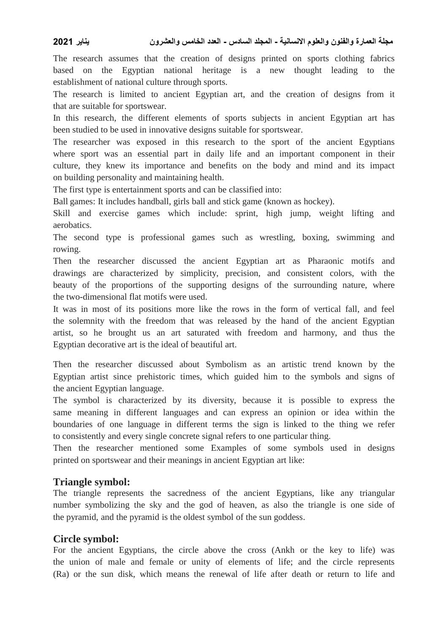The research assumes that the creation of designs printed on sports clothing fabrics based on the Egyptian national heritage is a new thought leading to the establishment of national culture through sports.

The research is limited to ancient Egyptian art, and the creation of designs from it that are suitable for sportswear.

In this research, the different elements of sports subjects in ancient Egyptian art has been studied to be used in innovative designs suitable for sportswear.

The researcher was exposed in this research to the sport of the ancient Egyptians where sport was an essential part in daily life and an important component in their culture, they knew its importance and benefits on the body and mind and its impact on building personality and maintaining health.

The first type is entertainment sports and can be classified into:

Ball games: It includes handball, girls ball and stick game (known as hockey).

Skill and exercise games which include: sprint, high jump, weight lifting and aerobatics.

The second type is professional games such as wrestling, boxing, swimming and rowing.

Then the researcher discussed the ancient Egyptian art as Pharaonic motifs and drawings are characterized by simplicity, precision, and consistent colors, with the beauty of the proportions of the supporting designs of the surrounding nature, where the two-dimensional flat motifs were used.

It was in most of its positions more like the rows in the form of vertical fall, and feel the solemnity with the freedom that was released by the hand of the ancient Egyptian artist, so he brought us an art saturated with freedom and harmony, and thus the Egyptian decorative art is the ideal of beautiful art.

Then the researcher discussed about Symbolism as an artistic trend known by the Egyptian artist since prehistoric times, which guided him to the symbols and signs of the ancient Egyptian language.

The symbol is characterized by its diversity, because it is possible to express the same meaning in different languages and can express an opinion or idea within the boundaries of one language in different terms the sign is linked to the thing we refer to consistently and every single concrete signal refers to one particular thing.

Then the researcher mentioned some Examples of some symbols used in designs printed on sportswear and their meanings in ancient Egyptian art like:

# **Triangle symbol:**

The triangle represents the sacredness of the ancient Egyptians, like any triangular number symbolizing the sky and the god of heaven, as also the triangle is one side of the pyramid, and the pyramid is the oldest symbol of the sun goddess.

### **Circle symbol:**

For the ancient Egyptians, the circle above the cross (Ankh or the key to life) was the union of male and female or unity of elements of life; and the circle represents (Ra) or the sun disk, which means the renewal of life after death or return to life and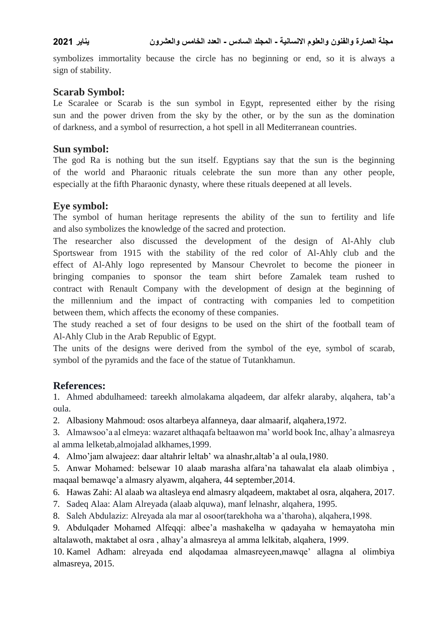symbolizes immortality because the circle has no beginning or end, so it is always a sign of stability.

# **Scarab Symbol:**

Le Scaralee or Scarab is the sun symbol in Egypt, represented either by the rising sun and the power driven from the sky by the other, or by the sun as the domination of darkness, and a symbol of resurrection, a hot spell in all Mediterranean countries.

# **Sun symbol:**

The god Ra is nothing but the sun itself. Egyptians say that the sun is the beginning of the world and Pharaonic rituals celebrate the sun more than any other people, especially at the fifth Pharaonic dynasty, where these rituals deepened at all levels.

# **Eye symbol:**

The symbol of human heritage represents the ability of the sun to fertility and life and also symbolizes the knowledge of the sacred and protection.

The researcher also discussed the development of the design of Al-Ahly club Sportswear from 1915 with the stability of the red color of Al-Ahly club and the effect of Al-Ahly logo represented by Mansour Chevrolet to become the pioneer in bringing companies to sponsor the team shirt before Zamalek team rushed to contract with Renault Company with the development of design at the beginning of the millennium and the impact of contracting with companies led to competition between them, which affects the economy of these companies.

The study reached a set of four designs to be used on the shirt of the football team of Al-Ahly Club in the Arab Republic of Egypt.

The units of the designs were derived from the symbol of the eye, symbol of scarab, symbol of the pyramids and the face of the statue of Tutankhamun.

# **References:**

1. Ahmed abdulhameed: tareekh almolakama alqadeem, dar alfekr alaraby, alqahera, tab'a oula.

2. Albasiony Mahmoud: osos altarbeya alfanneya, daar almaarif, alqahera,1972.

3. Almawsoo'a al elmeya: wazaret althaqafa beltaawon ma' world book Inc, alhay'a almasreya al amma lelketab,almojalad alkhames,1999.

4. Almo'jam alwajeez: daar altahrir leltab' wa alnashr,altab'a al oula,1980.

5. Anwar Mohamed: belsewar 10 alaab marasha alfara'na tahawalat ela alaab olimbiya , maqaal bemawqe'a almasry alyawm, alqahera, 44 september,2014.

6. Hawas Zahi: Al alaab wa altasleya end almasry alqadeem, maktabet al osra, alqahera, 2017.

- 7. Sadeq Alaa: Alam Alreyada (alaab alquwa), manf lelnashr, alqahera, 1995.
- 8. Saleh Abdulaziz: Alreyada ala mar al osoor(tarekhoha wa a'tharoha), alqahera,1998.

9. Abdulqader Mohamed Alfeqqi: albee'a mashakelha w qadayaha w hemayatoha min altalawoth, maktabet al osra , alhay'a almasreya al amma lelkitab, alqahera, 1999.

10. Kamel Adham: alreyada end alqodamaa almasreyeen,mawqe' allagna al olimbiya almasreya, 2015.